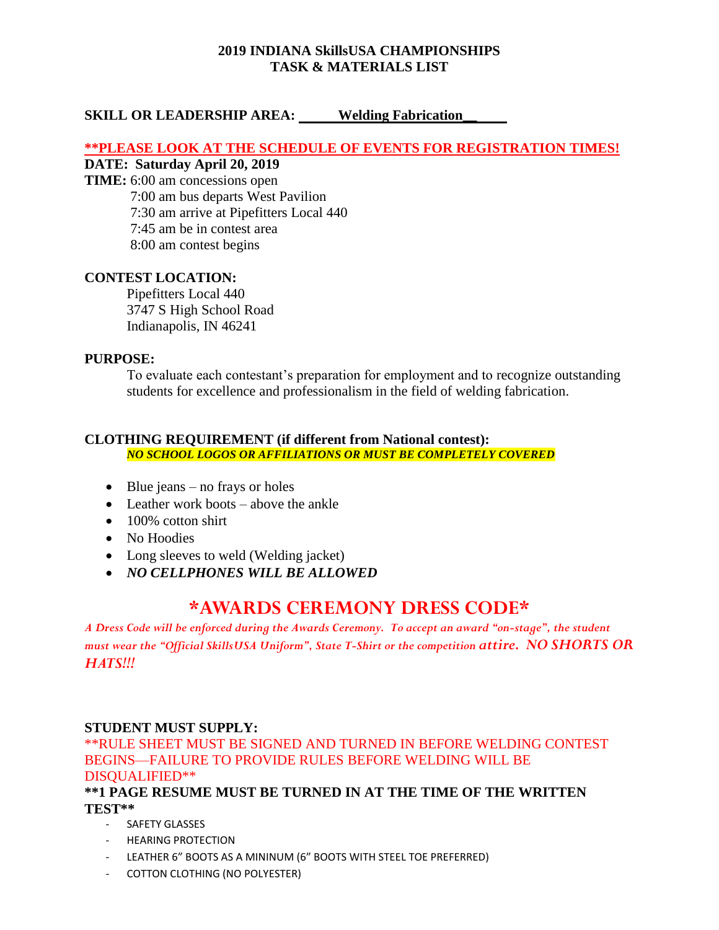## **2019 INDIANA SkillsUSA CHAMPIONSHIPS TASK & MATERIALS LIST**

## **SKILL OR LEADERSHIP AREA: Welding Fabrication\_**

## **\*\*PLEASE LOOK AT THE SCHEDULE OF EVENTS FOR REGISTRATION TIMES!**

## **DATE: Saturday April 20, 2019**

- **TIME:** 6:00 am concessions open
	- 7:00 am bus departs West Pavilion
	- 7:30 am arrive at Pipefitters Local 440
	- 7:45 am be in contest area
	- 8:00 am contest begins

## **CONTEST LOCATION:**

Pipefitters Local 440 3747 S High School Road Indianapolis, IN 46241

## **PURPOSE:**

To evaluate each contestant's preparation for employment and to recognize outstanding students for excellence and professionalism in the field of welding fabrication.

## **CLOTHING REQUIREMENT (if different from National contest):**

*NO SCHOOL LOGOS OR AFFILIATIONS OR MUST BE COMPLETELY COVERED*

- Blue jeans no frays or holes
- Leather work boots above the ankle
- 100% cotton shirt
- No Hoodies
- Long sleeves to weld (Welding jacket)
- *NO CELLPHONES WILL BE ALLOWED*

# **\*AWARDS CEREMONY DRESS CODE\***

*A Dress Code will be enforced during the Awards Ceremony. To accept an award "on-stage", the student must wear the "Official SkillsUSA Uniform", State T-Shirt or the competition attire. NO SHORTS OR HATS!!!*

## **STUDENT MUST SUPPLY:**

\*\*RULE SHEET MUST BE SIGNED AND TURNED IN BEFORE WELDING CONTEST BEGINS—FAILURE TO PROVIDE RULES BEFORE WELDING WILL BE DISQUALIFIED\*\*

**\*\*1 PAGE RESUME MUST BE TURNED IN AT THE TIME OF THE WRITTEN TEST\*\***

- SAFETY GLASSES
- HEARING PROTECTION
- LEATHER 6" BOOTS AS A MININUM (6" BOOTS WITH STEEL TOE PREFERRED)
- COTTON CLOTHING (NO POLYESTER)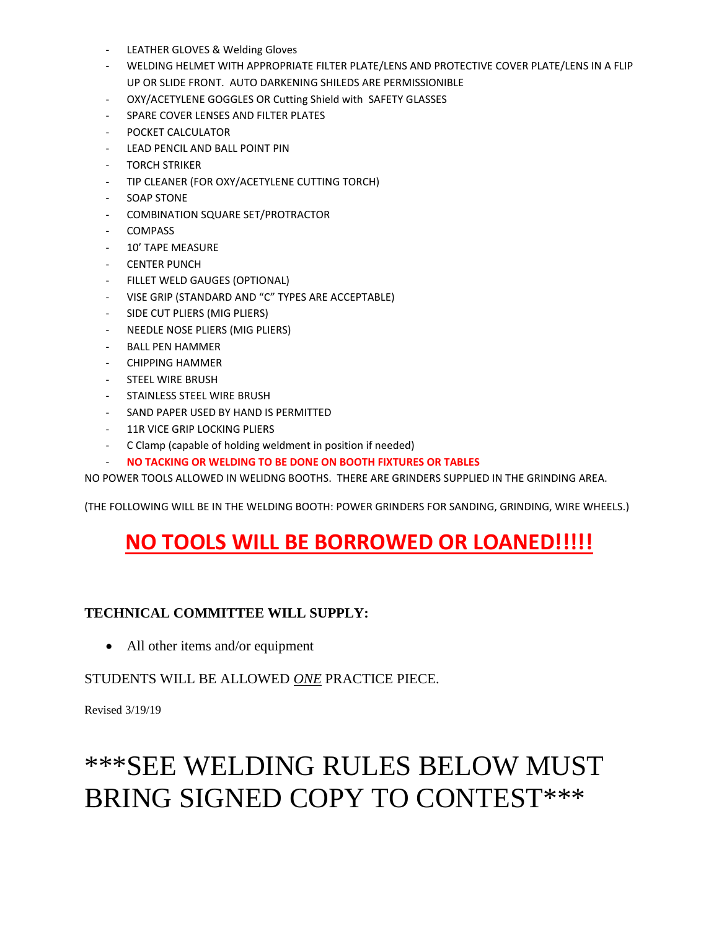- LEATHER GLOVES & Welding Gloves
- WELDING HELMET WITH APPROPRIATE FILTER PLATE/LENS AND PROTECTIVE COVER PLATE/LENS IN A FLIP UP OR SLIDE FRONT. AUTO DARKENING SHILEDS ARE PERMISSIONIBLE
- OXY/ACETYLENE GOGGLES OR Cutting Shield with SAFETY GLASSES
- SPARE COVER LENSES AND FILTER PLATES
- POCKET CALCULATOR
- LEAD PENCIL AND BALL POINT PIN
- TORCH STRIKER
- TIP CLEANER (FOR OXY/ACETYLENE CUTTING TORCH)
- SOAP STONE
- COMBINATION SQUARE SET/PROTRACTOR
- COMPASS
- 10' TAPE MEASURE
- CENTER PUNCH
- FILLET WELD GAUGES (OPTIONAL)
- VISE GRIP (STANDARD AND "C" TYPES ARE ACCEPTABLE)
- SIDE CUT PLIERS (MIG PLIERS)
- NEEDLE NOSE PLIERS (MIG PLIERS)
- BALL PEN HAMMER
- CHIPPING HAMMER
- STEEL WIRE BRUSH
- STAINLESS STEEL WIRE BRUSH
- SAND PAPER USED BY HAND IS PERMITTED
- 11R VICE GRIP LOCKING PLIERS
- C Clamp (capable of holding weldment in position if needed)
- **NO TACKING OR WELDING TO BE DONE ON BOOTH FIXTURES OR TABLES**

NO POWER TOOLS ALLOWED IN WELIDNG BOOTHS. THERE ARE GRINDERS SUPPLIED IN THE GRINDING AREA.

(THE FOLLOWING WILL BE IN THE WELDING BOOTH: POWER GRINDERS FOR SANDING, GRINDING, WIRE WHEELS.)

# **NO TOOLS WILL BE BORROWED OR LOANED!!!!!**

\*\*\*SEE WELDING RULES BELOW MUST

BRING SIGNED COPY TO CONTEST\*\*\*

## **TECHNICAL COMMITTEE WILL SUPPLY:**

• All other items and/or equipment

Revised 3/19/19

- 
- 
- 

## STUDENTS WILL BE ALLOWED *ONE* PRACTICE PIECE.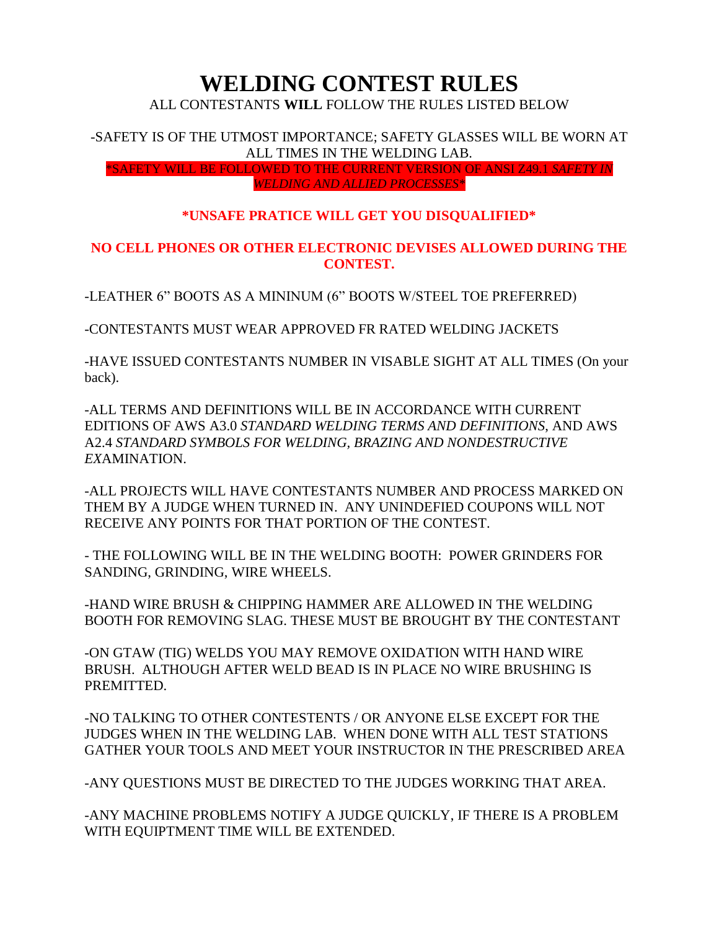# **WELDING CONTEST RULES**

ALL CONTESTANTS **WILL** FOLLOW THE RULES LISTED BELOW

-SAFETY IS OF THE UTMOST IMPORTANCE; SAFETY GLASSES WILL BE WORN AT ALL TIMES IN THE WELDING LAB.

\*SAFETY WILL BE FOLLOWED TO THE CURRENT VERSION OF ANSI Z49.1 *SAFETY IN WELDING AND ALLIED PROCESSES\**

## **\*UNSAFE PRATICE WILL GET YOU DISQUALIFIED\***

## **NO CELL PHONES OR OTHER ELECTRONIC DEVISES ALLOWED DURING THE CONTEST.**

-LEATHER 6" BOOTS AS A MININUM (6" BOOTS W/STEEL TOE PREFERRED)

-CONTESTANTS MUST WEAR APPROVED FR RATED WELDING JACKETS

-HAVE ISSUED CONTESTANTS NUMBER IN VISABLE SIGHT AT ALL TIMES (On your back).

-ALL TERMS AND DEFINITIONS WILL BE IN ACCORDANCE WITH CURRENT EDITIONS OF AWS A3.0 *STANDARD WELDING TERMS AND DEFINITIONS*, AND AWS A2.4 *STANDARD SYMBOLS FOR WELDING, BRAZING AND NONDESTRUCTIVE EX*AMINATION.

-ALL PROJECTS WILL HAVE CONTESTANTS NUMBER AND PROCESS MARKED ON THEM BY A JUDGE WHEN TURNED IN. ANY UNINDEFIED COUPONS WILL NOT RECEIVE ANY POINTS FOR THAT PORTION OF THE CONTEST.

- THE FOLLOWING WILL BE IN THE WELDING BOOTH: POWER GRINDERS FOR SANDING, GRINDING, WIRE WHEELS.

-HAND WIRE BRUSH & CHIPPING HAMMER ARE ALLOWED IN THE WELDING BOOTH FOR REMOVING SLAG. THESE MUST BE BROUGHT BY THE CONTESTANT

-ON GTAW (TIG) WELDS YOU MAY REMOVE OXIDATION WITH HAND WIRE BRUSH. ALTHOUGH AFTER WELD BEAD IS IN PLACE NO WIRE BRUSHING IS PREMITTED.

-NO TALKING TO OTHER CONTESTENTS / OR ANYONE ELSE EXCEPT FOR THE JUDGES WHEN IN THE WELDING LAB. WHEN DONE WITH ALL TEST STATIONS GATHER YOUR TOOLS AND MEET YOUR INSTRUCTOR IN THE PRESCRIBED AREA

-ANY QUESTIONS MUST BE DIRECTED TO THE JUDGES WORKING THAT AREA.

-ANY MACHINE PROBLEMS NOTIFY A JUDGE QUICKLY, IF THERE IS A PROBLEM WITH EQUIPTMENT TIME WILL BE EXTENDED.